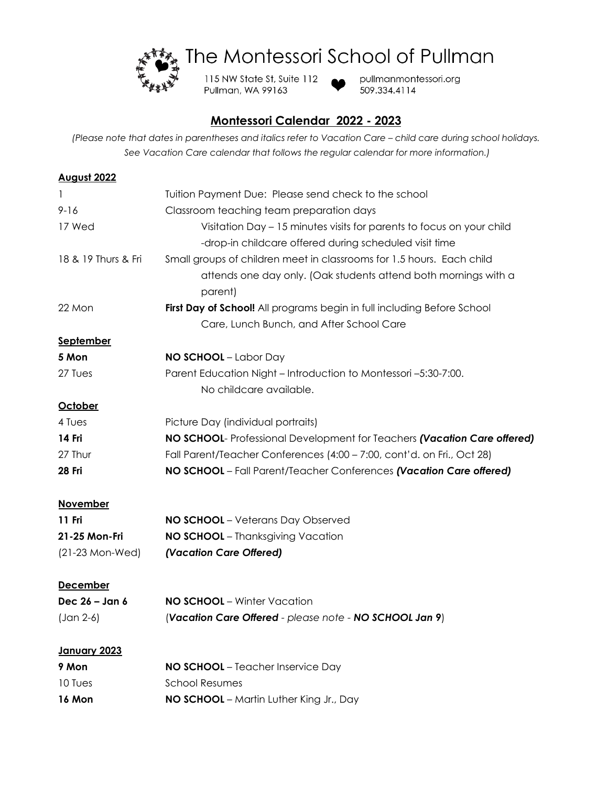

The Montessori School of Pullman

115 NW State St, Suite 112 Pullman, WA 99163



pullmanmontessori.org 509.334.4114

## **Montessori Calendar 2022 - 2023**

*(Please note that dates in parentheses and italics refer to Vacation Care – child care during school holidays. See Vacation Care calendar that follows the regular calendar for more information.)*

| Tuition Payment Due: Please send check to the school                     |
|--------------------------------------------------------------------------|
| Classroom teaching team preparation days                                 |
| Visitation Day - 15 minutes visits for parents to focus on your child    |
| -drop-in childcare offered during scheduled visit time                   |
| Small groups of children meet in classrooms for 1.5 hours. Each child    |
| attends one day only. (Oak students attend both mornings with a          |
| parent)                                                                  |
| First Day of School! All programs begin in full including Before School  |
| Care, Lunch Bunch, and After School Care                                 |
|                                                                          |
| <b>NO SCHOOL</b> - Labor Day                                             |
| Parent Education Night - Introduction to Montessori -5:30-7:00.          |
| No childcare available.                                                  |
|                                                                          |
| Picture Day (individual portraits)                                       |
| NO SCHOOL- Professional Development for Teachers (Vacation Care offered) |
| Fall Parent/Teacher Conferences (4:00 - 7:00, cont'd. on Fri., Oct 28)   |
| NO SCHOOL - Fall Parent/Teacher Conferences (Vacation Care offered)      |
|                                                                          |
| <b>NO SCHOOL</b> - Veterans Day Observed                                 |
| NO SCHOOL - Thanksgiving Vacation                                        |
| (Vacation Care Offered)                                                  |
|                                                                          |
|                                                                          |
| NO SCHOOL - Winter Vacation                                              |
| (Vacation Care Offered - please note - NO SCHOOL Jan 9)                  |
|                                                                          |
| NO SCHOOL - Teacher Inservice Day                                        |
| <b>School Resumes</b>                                                    |
| NO SCHOOL - Martin Luther King Jr., Day                                  |
|                                                                          |